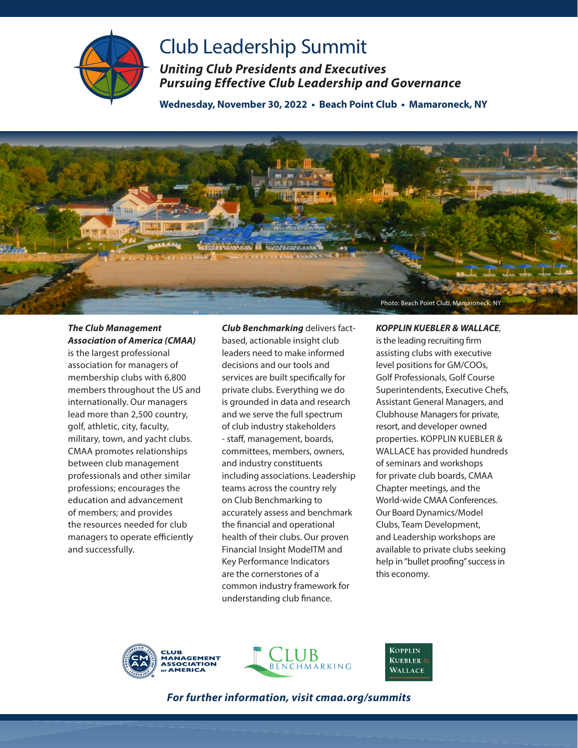

## Club Leadership Summit

*Uniting Club Presidents and Executives Pursuing Effective Club Leadership and Governance* 

**Wednesday, November 30, 2022 • Beach Point Club • Mamaroneck, NY**



## *The Club Management Association of America (CMAA)*

is the largest professional association for managers of membership clubs with 6,800 members throughout the US and internationally. Our managers lead more than 2,500 country, golf, athletic, city, faculty, military, town, and yacht clubs. CMAA promotes relationships between club management professionals and other similar professions; encourages the education and advancement of members; and provides the resources needed for club managers to operate efficiently and successfully.

*Club Benchmarking* delivers factbased, actionable insight club leaders need to make informed decisions and our tools and services are built specifically for private clubs. Everything we do is grounded in data and research and we serve the full spectrum of club industry stakeholders - staff, management, boards, committees, members, owners, and industry constituents including associations. Leadership teams across the country rely on Club Benchmarking to accurately assess and benchmark the financial and operational health of their clubs. Our proven Financial Insight ModelTM and Key Performance Indicators are the cornerstones of a common industry framework for understanding club finance.

## *KOPPLIN KUEBLER & WALLACE*,

is the leading recruiting firm assisting clubs with executive level positions for GM/COOs, Golf Professionals, Golf Course Superintendents, Executive Chefs, Assistant General Managers, and Clubhouse Managers for private, resort, and developer owned properties. KOPPLIN KUEBLER & WALLACE has provided hundreds of seminars and workshops for private club boards, CMAA Chapter meetings, and the World-wide CMAA Conferences. Our Board Dynamics/Model Clubs, Team Development, and Leadership workshops are available to private clubs seeking help in "bullet proofing" success in this economy.







*For further information, visit cmaa.org/summits*